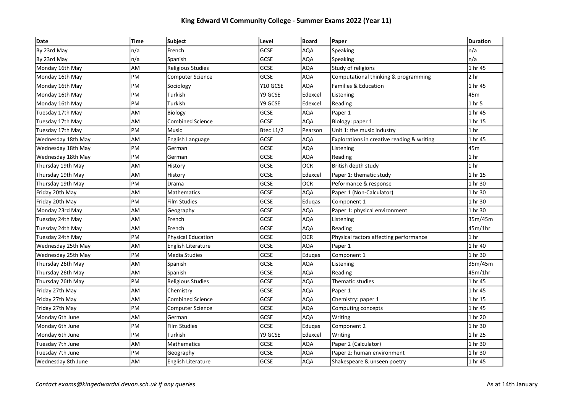## King Edward VI Community College - Summer Exams 2022 (Year 11)

| Date               | <b>Time</b> | <b>Subject</b>            | Level       | Board      | <b>Paper</b>                               | <b>Duration</b> |
|--------------------|-------------|---------------------------|-------------|------------|--------------------------------------------|-----------------|
| By 23rd May        | n/a         | French                    | GCSE        | AQA        | Speaking                                   | n/a             |
| By 23rd May        | n/a         | Spanish                   | GCSE        | <b>AQA</b> | Speaking                                   | n/a             |
| Monday 16th May    | AM          | <b>Religious Studies</b>  | <b>GCSE</b> | <b>AQA</b> | Study of religions                         | 1 hr 45         |
| Monday 16th May    | PM          | Computer Science          | <b>GCSE</b> | AQA        | Computational thinking & programming       | 2 <sub>hr</sub> |
| Monday 16th May    | PM          | Sociology                 | Y10 GCSE    | <b>AQA</b> | Families & Education                       | 1 hr 45         |
| Monday 16th May    | PM          | Turkish                   | Y9 GCSE     | Edexcel    | Listening                                  | 45m             |
| Monday 16th May    | PM          | Turkish                   | Y9 GCSE     | Edexcel    | Reading                                    | 1 hr 5          |
| Tuesday 17th May   | AM          | Biology                   | <b>GCSE</b> | AQA        | Paper 1                                    | 1 hr 45         |
| Tuesday 17th May   | AM          | <b>Combined Science</b>   | GCSE        | AQA        | Biology: paper 1                           | 1 hr 15         |
| Tuesday 17th May   | PM          | Music                     | Btec L1/2   | Pearson    | Unit 1: the music industry                 | 1 <sub>hr</sub> |
| Wednesday 18th May | AM          | English Language          | GCSE        | AQA        | Explorations in creative reading & writing | 1 hr 45         |
| Wednesday 18th May | PM          | German                    | GCSE        | AQA        | Listening                                  | 45m             |
| Wednesday 18th May | PM          | German                    | GCSE        | <b>AQA</b> | Reading                                    | 1 <sub>hr</sub> |
| Thursday 19th May  | AM          | History                   | GCSE        | OCR        | British depth study                        | 1 <sub>hr</sub> |
| Thursday 19th May  | AM          | History                   | <b>GCSE</b> | Edexcel    | Paper 1: thematic study                    | 1 hr 15         |
| Thursday 19th May  | PM          | Drama                     | <b>GCSE</b> | <b>OCR</b> | Peformance & response                      | 1 hr 30         |
| Friday 20th May    | AM          | Mathematics               | <b>GCSE</b> | AQA        | Paper 1 (Non-Calculator)                   | 1 hr 30         |
| Friday 20th May    | PM          | <b>Film Studies</b>       | GCSE        | Eduqas     | Component 1                                | 1 hr 30         |
| Monday 23rd May    | AM          | Geography                 | <b>GCSE</b> | AQA        | Paper 1: physical environment              | 1 hr 30         |
| Tuesday 24th May   | AM          | French                    | GCSE        | <b>AQA</b> | Listening                                  | 35m/45m         |
| Tuesday 24th May   | AM          | French                    | <b>GCSE</b> | AQA        | Reading                                    | 45m/1hr         |
| Tuesday 24th May   | PM          | <b>Physical Education</b> | GCSE        | OCR        | Physical factors affecting performance     | 1 <sub>hr</sub> |
| Wednesday 25th May | AM          | <b>English Literature</b> | GCSE        | AQA        | Paper 1                                    | 1 hr 40         |
| Wednesday 25th May | PM          | <b>Media Studies</b>      | <b>GCSE</b> | Eduqas     | Component 1                                | 1 hr 30         |
| Thursday 26th May  | AM          | Spanish                   | GCSE        | AQA        | Listening                                  | 35m/45m         |
| Thursday 26th May  | AM          | Spanish                   | <b>GCSE</b> | AQA        | Reading                                    | 45m/1hr         |
| Thursday 26th May  | PM          | Religious Studies         | GCSE        | <b>AQA</b> | Thematic studies                           | 1 hr 45         |
| Friday 27th May    | AM          | Chemistry                 | GCSE        | AQA        | Paper 1                                    | 1 hr 45         |
| Friday 27th May    | AM          | <b>Combined Science</b>   | GCSE        | <b>AQA</b> | Chemistry: paper 1                         | 1 hr 15         |
| Friday 27th May    | PM          | <b>Computer Science</b>   | <b>GCSE</b> | AQA        | Computing concepts                         | 1 hr 45         |
| Monday 6th June    | AM          | German                    | GCSE        | <b>AQA</b> | Writing                                    | 1 hr 20         |
| Monday 6th June    | PM          | <b>Film Studies</b>       | GCSE        | Edugas     | Component 2                                | 1 hr 30         |
| Monday 6th June    | PM          | Turkish                   | Y9 GCSE     | Edexcel    | Writing                                    | 1 hr 25         |
| Tuesday 7th June   | AM          | Mathematics               | GCSE        | AQA        | Paper 2 (Calculator)                       | 1 hr 30         |
| Tuesday 7th June   | PM          | Geography                 | GCSE        | <b>AQA</b> | Paper 2: human environment                 | 1 hr 30         |
| Wednesday 8th June | AM          | English Literature        | <b>GCSE</b> | <b>AQA</b> | Shakespeare & unseen poetry                | 1 hr 45         |